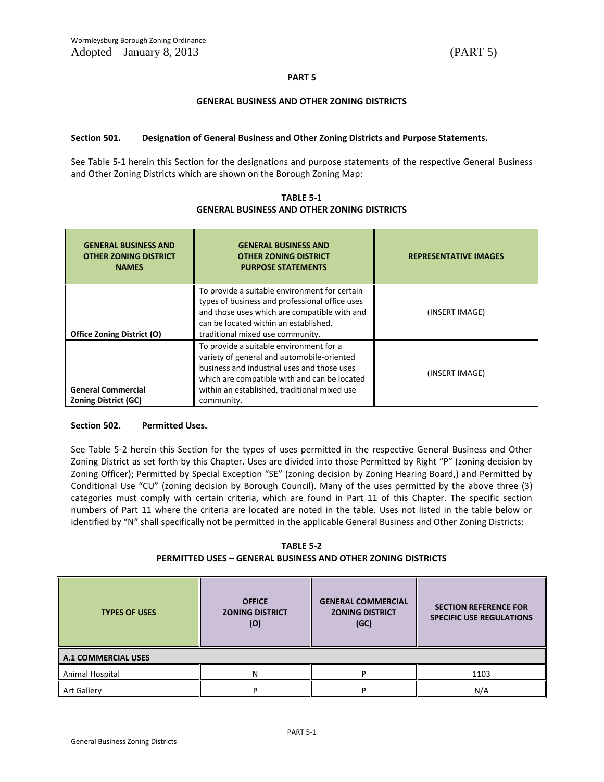### **PART 5**

### **GENERAL BUSINESS AND OTHER ZONING DISTRICTS**

### **Section 501. Designation of General Business and Other Zoning Districts and Purpose Statements.**

See Table 5-1 herein this Section for the designations and purpose statements of the respective General Business and Other Zoning Districts which are shown on the Borough Zoning Map:

| <b>GENERAL BUSINESS AND</b><br><b>OTHER ZONING DISTRICT</b><br><b>NAMES</b> | <b>GENERAL BUSINESS AND</b><br><b>OTHER ZONING DISTRICT</b><br><b>PURPOSE STATEMENTS</b>                                                                                                                                                           | <b>REPRESENTATIVE IMAGES</b> |  |
|-----------------------------------------------------------------------------|----------------------------------------------------------------------------------------------------------------------------------------------------------------------------------------------------------------------------------------------------|------------------------------|--|
| <b>Office Zoning District (O)</b>                                           | To provide a suitable environment for certain<br>types of business and professional office uses<br>and those uses which are compatible with and<br>can be located within an established,<br>traditional mixed use community.                       | (INSERT IMAGE)               |  |
| <b>General Commercial</b><br><b>Zoning District (GC)</b>                    | To provide a suitable environment for a<br>variety of general and automobile-oriented<br>business and industrial uses and those uses<br>which are compatible with and can be located<br>within an established, traditional mixed use<br>community. | (INSERT IMAGE)               |  |

**TABLE 5-1 GENERAL BUSINESS AND OTHER ZONING DISTRICTS**

### **Section 502. Permitted Uses.**

See Table 5-2 herein this Section for the types of uses permitted in the respective General Business and Other Zoning District as set forth by this Chapter. Uses are divided into those Permitted by Right "P" (zoning decision by Zoning Officer); Permitted by Special Exception "SE" (zoning decision by Zoning Hearing Board,) and Permitted by Conditional Use "CU" (zoning decision by Borough Council). Many of the uses permitted by the above three (3) categories must comply with certain criteria, which are found in Part 11 of this Chapter. The specific section numbers of Part 11 where the criteria are located are noted in the table. Uses not listed in the table below or identified by "N" shall specifically not be permitted in the applicable General Business and Other Zoning Districts:

**TABLE 5-2 PERMITTED USES – GENERAL BUSINESS AND OTHER ZONING DISTRICTS**

| <b>TYPES OF USES</b>       | <b>OFFICE</b><br><b>ZONING DISTRICT</b><br>(0) | <b>GENERAL COMMERCIAL</b><br><b>ZONING DISTRICT</b><br>(GC) | <b>SECTION REFERENCE FOR</b><br><b>SPECIFIC USE REGULATIONS</b> |  |
|----------------------------|------------------------------------------------|-------------------------------------------------------------|-----------------------------------------------------------------|--|
| <b>A.1 COMMERCIAL USES</b> |                                                |                                                             |                                                                 |  |
| Animal Hospital            | N                                              |                                                             | 1103                                                            |  |
| <b>Art Gallery</b>         |                                                |                                                             | N/A                                                             |  |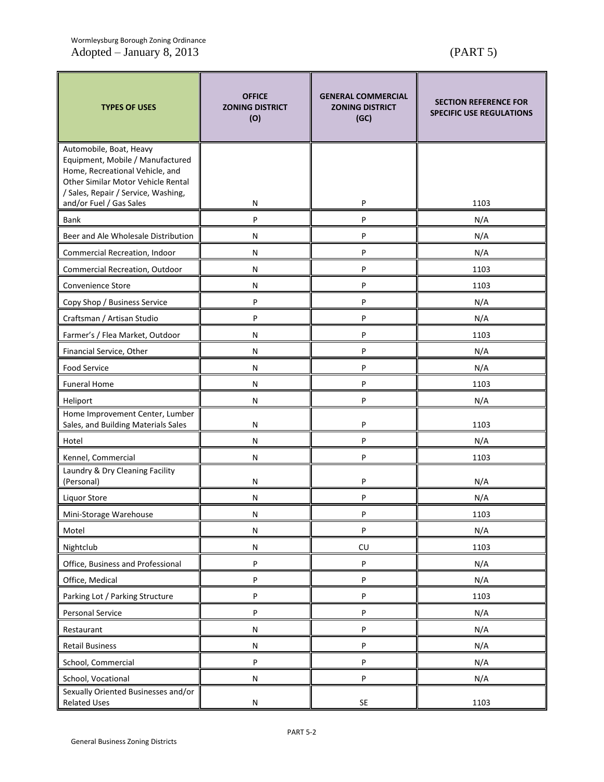| <b>TYPES OF USES</b>                                                                                                                                                        | <b>OFFICE</b><br><b>GENERAL COMMERCIAL</b><br><b>ZONING DISTRICT</b><br><b>ZONING DISTRICT</b><br>(O)<br>(GC) |    | <b>SECTION REFERENCE FOR</b><br><b>SPECIFIC USE REGULATIONS</b> |  |
|-----------------------------------------------------------------------------------------------------------------------------------------------------------------------------|---------------------------------------------------------------------------------------------------------------|----|-----------------------------------------------------------------|--|
| Automobile, Boat, Heavy<br>Equipment, Mobile / Manufactured<br>Home, Recreational Vehicle, and<br>Other Similar Motor Vehicle Rental<br>/ Sales, Repair / Service, Washing, |                                                                                                               |    |                                                                 |  |
| and/or Fuel / Gas Sales                                                                                                                                                     | N                                                                                                             | P  | 1103                                                            |  |
| Bank                                                                                                                                                                        | P                                                                                                             | P  | N/A                                                             |  |
| Beer and Ale Wholesale Distribution                                                                                                                                         | N                                                                                                             | P  | N/A                                                             |  |
| Commercial Recreation, Indoor                                                                                                                                               | N                                                                                                             | P  | N/A                                                             |  |
| Commercial Recreation, Outdoor                                                                                                                                              | N                                                                                                             | P  | 1103                                                            |  |
| Convenience Store                                                                                                                                                           | N                                                                                                             | P  | 1103                                                            |  |
| Copy Shop / Business Service                                                                                                                                                | P                                                                                                             | P  | N/A                                                             |  |
| Craftsman / Artisan Studio                                                                                                                                                  | P                                                                                                             | P  | N/A                                                             |  |
| Farmer's / Flea Market, Outdoor                                                                                                                                             | N                                                                                                             | P  | 1103                                                            |  |
| Financial Service, Other                                                                                                                                                    | N                                                                                                             | P  | N/A                                                             |  |
| Food Service                                                                                                                                                                | N                                                                                                             | P  | N/A                                                             |  |
| <b>Funeral Home</b>                                                                                                                                                         | N                                                                                                             | P  | 1103                                                            |  |
| Heliport                                                                                                                                                                    | N                                                                                                             | P  | N/A                                                             |  |
| Home Improvement Center, Lumber<br>Sales, and Building Materials Sales                                                                                                      | N                                                                                                             | P  | 1103                                                            |  |
| Hotel                                                                                                                                                                       | N                                                                                                             | P  | N/A                                                             |  |
| Kennel, Commercial                                                                                                                                                          | N                                                                                                             | P  | 1103                                                            |  |
| Laundry & Dry Cleaning Facility<br>(Personal)                                                                                                                               | N                                                                                                             | P  | N/A                                                             |  |
| <b>Liquor Store</b>                                                                                                                                                         | N                                                                                                             | P  | N/A                                                             |  |
| Mini-Storage Warehouse                                                                                                                                                      | N                                                                                                             | P  | 1103                                                            |  |
| Motel                                                                                                                                                                       | N                                                                                                             | P  | N/A                                                             |  |
| Nightclub                                                                                                                                                                   | N                                                                                                             | CU | 1103                                                            |  |
| Office, Business and Professional                                                                                                                                           | P                                                                                                             | P  | N/A                                                             |  |
| Office, Medical                                                                                                                                                             | P                                                                                                             | P  | N/A                                                             |  |
| Parking Lot / Parking Structure                                                                                                                                             | P                                                                                                             | P  | 1103                                                            |  |
| Personal Service                                                                                                                                                            | P                                                                                                             | P  | N/A                                                             |  |
| Restaurant                                                                                                                                                                  | ${\sf N}$                                                                                                     | P  | N/A                                                             |  |
| <b>Retail Business</b>                                                                                                                                                      | ${\sf N}$                                                                                                     | P  | N/A                                                             |  |
| School, Commercial                                                                                                                                                          | $\sf P$                                                                                                       | P  | N/A                                                             |  |
| School, Vocational                                                                                                                                                          | N                                                                                                             | P  | N/A                                                             |  |
| Sexually Oriented Businesses and/or<br><b>Related Uses</b>                                                                                                                  | N                                                                                                             | SE | 1103                                                            |  |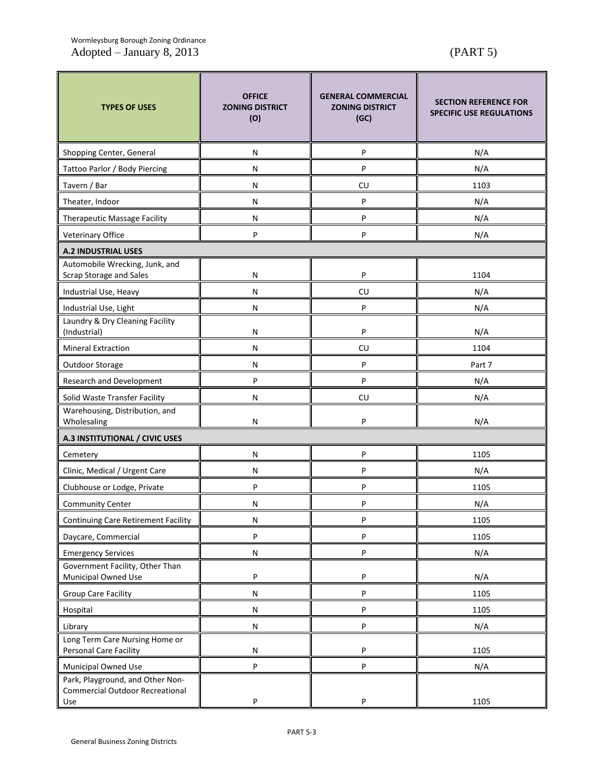# Wormleysburg Borough Zoning Ordinance Adopted – January 8, 2013 (PART 5)

| <b>TYPES OF USES</b>                                                              | <b>OFFICE</b><br><b>ZONING DISTRICT</b><br>(O) | <b>GENERAL COMMERCIAL</b><br><b>ZONING DISTRICT</b><br>(GC) | <b>SECTION REFERENCE FOR</b><br><b>SPECIFIC USE REGULATIONS</b> |  |
|-----------------------------------------------------------------------------------|------------------------------------------------|-------------------------------------------------------------|-----------------------------------------------------------------|--|
| Shopping Center, General                                                          | N                                              | P                                                           | N/A                                                             |  |
| Tattoo Parlor / Body Piercing                                                     | N                                              | P                                                           | N/A                                                             |  |
| Tavern / Bar                                                                      | N                                              | <b>CU</b>                                                   | 1103                                                            |  |
| Theater, Indoor                                                                   | N                                              | P                                                           | N/A                                                             |  |
| Therapeutic Massage Facility                                                      | N                                              | P                                                           | N/A                                                             |  |
| Veterinary Office                                                                 | P                                              | P                                                           | N/A                                                             |  |
| <b>A.2 INDUSTRIAL USES</b>                                                        |                                                |                                                             |                                                                 |  |
| Automobile Wrecking, Junk, and<br><b>Scrap Storage and Sales</b>                  | N                                              | P                                                           | 1104                                                            |  |
| Industrial Use, Heavy                                                             | N                                              | <b>CU</b>                                                   | N/A                                                             |  |
| Industrial Use, Light                                                             | N                                              | P                                                           | N/A                                                             |  |
| Laundry & Dry Cleaning Facility<br>(Industrial)                                   | N                                              | P                                                           | N/A                                                             |  |
| <b>Mineral Extraction</b>                                                         | N                                              | <b>CU</b>                                                   | 1104                                                            |  |
| Outdoor Storage                                                                   | N                                              | P                                                           | Part 7                                                          |  |
| Research and Development                                                          | P                                              | P                                                           | N/A                                                             |  |
| Solid Waste Transfer Facility                                                     | N                                              | CU                                                          | N/A                                                             |  |
| Warehousing, Distribution, and<br>Wholesaling                                     | P<br>N                                         |                                                             | N/A                                                             |  |
| A.3 INSTITUTIONAL / CIVIC USES                                                    |                                                |                                                             |                                                                 |  |
| Cemetery                                                                          | N                                              | P                                                           | 1105                                                            |  |
| Clinic, Medical / Urgent Care                                                     | N                                              | P                                                           | N/A                                                             |  |
| Clubhouse or Lodge, Private                                                       | P                                              | P                                                           | 1105                                                            |  |
| <b>Community Center</b>                                                           | N                                              | P                                                           | N/A                                                             |  |
| <b>Continuing Care Retirement Facility</b>                                        | N                                              | P                                                           | 1105                                                            |  |
| Daycare, Commercial                                                               | P                                              | P                                                           | 1105                                                            |  |
| <b>Emergency Services</b>                                                         | N                                              | P                                                           | N/A                                                             |  |
| Government Facility, Other Than<br>Municipal Owned Use                            | P                                              | P                                                           | N/A                                                             |  |
| Group Care Facility                                                               | N                                              | P                                                           | 1105                                                            |  |
| Hospital                                                                          | N                                              | P                                                           | 1105                                                            |  |
| Library                                                                           | N                                              | P                                                           | N/A                                                             |  |
| Long Term Care Nursing Home or<br>Personal Care Facility                          | ${\sf N}$                                      | P                                                           | 1105                                                            |  |
| Municipal Owned Use                                                               | P                                              | P                                                           | N/A                                                             |  |
| Park, Playground, and Other Non-<br><b>Commercial Outdoor Recreational</b><br>Use | P                                              | P                                                           | 1105                                                            |  |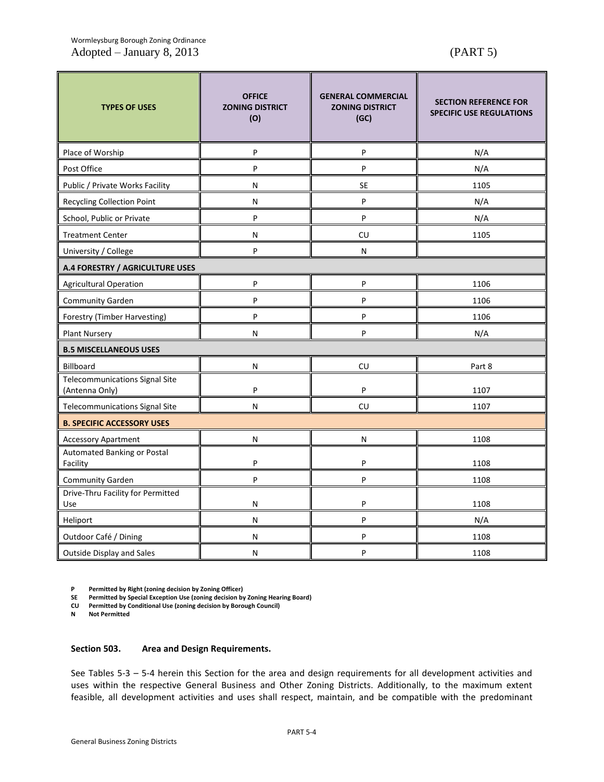# Wormleysburg Borough Zoning Ordinance Adopted – January 8, 2013 (PART 5)

| <b>TYPES OF USES</b>                                    | <b>OFFICE</b><br><b>ZONING DISTRICT</b><br>(O) | <b>GENERAL COMMERCIAL</b><br><b>ZONING DISTRICT</b><br>(GC) | <b>SECTION REFERENCE FOR</b><br><b>SPECIFIC USE REGULATIONS</b> |  |
|---------------------------------------------------------|------------------------------------------------|-------------------------------------------------------------|-----------------------------------------------------------------|--|
| Place of Worship                                        | P                                              | P                                                           | N/A                                                             |  |
| Post Office                                             | P                                              | P                                                           | N/A                                                             |  |
| Public / Private Works Facility                         | N                                              | <b>SE</b>                                                   | 1105                                                            |  |
| <b>Recycling Collection Point</b>                       | N                                              | P                                                           | N/A                                                             |  |
| School, Public or Private                               | P                                              | P                                                           | N/A                                                             |  |
| <b>Treatment Center</b>                                 | N                                              | CU                                                          | 1105                                                            |  |
| University / College                                    | P                                              | N                                                           |                                                                 |  |
| A.4 FORESTRY / AGRICULTURE USES                         |                                                |                                                             |                                                                 |  |
| Agricultural Operation                                  | P                                              | P                                                           | 1106                                                            |  |
| Community Garden                                        | P                                              | P                                                           | 1106                                                            |  |
| Forestry (Timber Harvesting)                            | P                                              | P                                                           | 1106                                                            |  |
| <b>Plant Nursery</b>                                    | N                                              | P                                                           | N/A                                                             |  |
| <b>B.5 MISCELLANEOUS USES</b>                           |                                                |                                                             |                                                                 |  |
| Billboard                                               | N                                              | CU                                                          | Part 8                                                          |  |
| <b>Telecommunications Signal Site</b><br>(Antenna Only) | P                                              | P                                                           | 1107                                                            |  |
| Telecommunications Signal Site                          | N                                              | CU                                                          | 1107                                                            |  |
| <b>B. SPECIFIC ACCESSORY USES</b>                       |                                                |                                                             |                                                                 |  |
| <b>Accessory Apartment</b>                              | N                                              | N                                                           | 1108                                                            |  |
| Automated Banking or Postal<br>Facility                 | P                                              | P<br>1108                                                   |                                                                 |  |
| <b>Community Garden</b>                                 | P                                              | P                                                           |                                                                 |  |
| Drive-Thru Facility for Permitted<br>Use                | N                                              | P<br>1108                                                   |                                                                 |  |
| Heliport                                                | N                                              | P                                                           | N/A                                                             |  |
| Outdoor Café / Dining                                   | N                                              | P                                                           | 1108                                                            |  |
| <b>Outside Display and Sales</b>                        | N                                              | P<br>1108                                                   |                                                                 |  |

**P Permitted by Right (zoning decision by Zoning Officer)**

**SE Permitted by Special Exception Use (zoning decision by Zoning Hearing Board)**

**CU Permitted by Conditional Use (zoning decision by Borough Council)**

**N Not Permitted**

### **Section 503. Area and Design Requirements.**

See Tables 5-3 – 5-4 herein this Section for the area and design requirements for all development activities and uses within the respective General Business and Other Zoning Districts. Additionally, to the maximum extent feasible, all development activities and uses shall respect, maintain, and be compatible with the predominant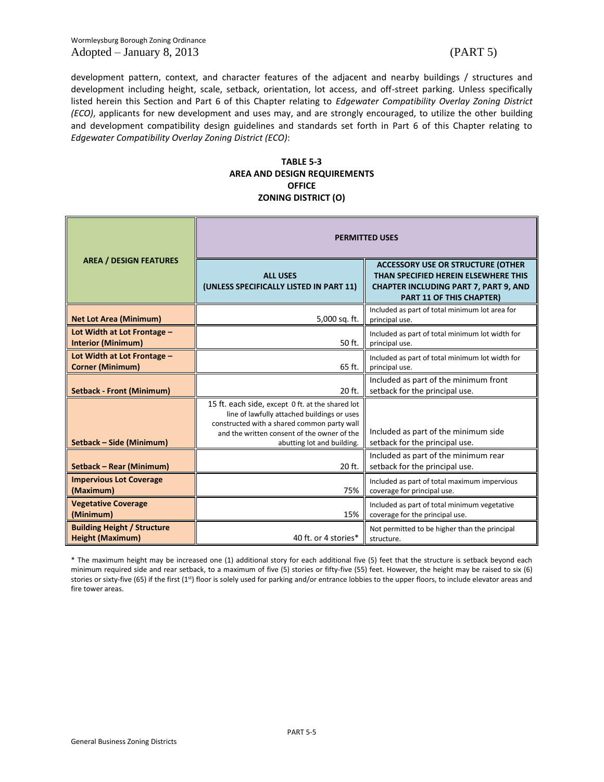Wormleysburg Borough Zoning Ordinance Adopted – January 8, 2013 (PART 5)

development pattern, context, and character features of the adjacent and nearby buildings / structures and development including height, scale, setback, orientation, lot access, and off-street parking. Unless specifically listed herein this Section and Part 6 of this Chapter relating to *Edgewater Compatibility Overlay Zoning District (ECO)*, applicants for new development and uses may, and are strongly encouraged, to utilize the other building and development compatibility design guidelines and standards set forth in Part 6 of this Chapter relating to *Edgewater Compatibility Overlay Zoning District (ECO)*:

# **TABLE 5-3 AREA AND DESIGN REQUIREMENTS OFFICE ZONING DISTRICT (O)**

|                                                               | <b>PERMITTED USES</b>                                                                                                                                                                                                       |                                                                                                                                                                     |  |  |
|---------------------------------------------------------------|-----------------------------------------------------------------------------------------------------------------------------------------------------------------------------------------------------------------------------|---------------------------------------------------------------------------------------------------------------------------------------------------------------------|--|--|
| <b>AREA / DESIGN FEATURES</b>                                 | <b>ALL USES</b><br>(UNLESS SPECIFICALLY LISTED IN PART 11)                                                                                                                                                                  | <b>ACCESSORY USE OR STRUCTURE (OTHER</b><br>THAN SPECIFIED HEREIN ELSEWHERE THIS<br><b>CHAPTER INCLUDING PART 7, PART 9, AND</b><br><b>PART 11 OF THIS CHAPTER)</b> |  |  |
| <b>Net Lot Area (Minimum)</b>                                 | 5,000 sq. ft.                                                                                                                                                                                                               | Included as part of total minimum lot area for<br>principal use.                                                                                                    |  |  |
| Lot Width at Lot Frontage -<br><b>Interior (Minimum)</b>      | 50 ft.                                                                                                                                                                                                                      | Included as part of total minimum lot width for<br>principal use.                                                                                                   |  |  |
| Lot Width at Lot Frontage -<br><b>Corner (Minimum)</b>        | 65 ft.                                                                                                                                                                                                                      | Included as part of total minimum lot width for<br>principal use.                                                                                                   |  |  |
| <b>Setback - Front (Minimum)</b>                              | 20 ft.                                                                                                                                                                                                                      | Included as part of the minimum front<br>setback for the principal use.                                                                                             |  |  |
| Setback - Side (Minimum)                                      | 15 ft. each side, except 0 ft. at the shared lot<br>line of lawfully attached buildings or uses<br>constructed with a shared common party wall<br>and the written consent of the owner of the<br>abutting lot and building. | Included as part of the minimum side<br>setback for the principal use.                                                                                              |  |  |
| Setback - Rear (Minimum)                                      | 20 ft.                                                                                                                                                                                                                      | Included as part of the minimum rear<br>setback for the principal use.                                                                                              |  |  |
| <b>Impervious Lot Coverage</b><br>(Maximum)                   | 75%                                                                                                                                                                                                                         | Included as part of total maximum impervious<br>coverage for principal use.                                                                                         |  |  |
| <b>Vegetative Coverage</b><br>(Minimum)                       | 15%                                                                                                                                                                                                                         | Included as part of total minimum vegetative<br>coverage for the principal use.                                                                                     |  |  |
| <b>Building Height / Structure</b><br><b>Height (Maximum)</b> | 40 ft. or 4 stories*                                                                                                                                                                                                        | Not permitted to be higher than the principal<br>structure.                                                                                                         |  |  |

\* The maximum height may be increased one (1) additional story for each additional five (5) feet that the structure is setback beyond each minimum required side and rear setback, to a maximum of five (5) stories or fifty-five (55) feet. However, the height may be raised to six (6) stories or sixty-five (65) if the first (1st) floor is solely used for parking and/or entrance lobbies to the upper floors, to include elevator areas and fire tower areas.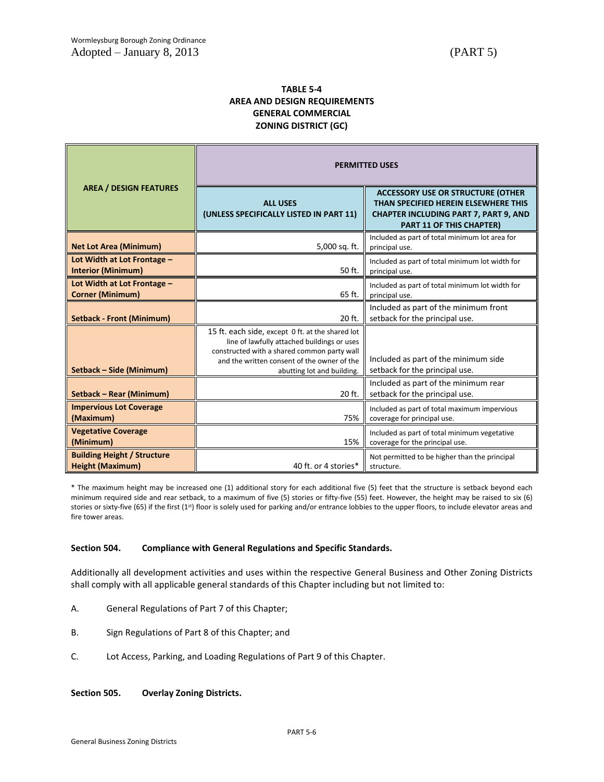# **TABLE 5-4 AREA AND DESIGN REQUIREMENTS GENERAL COMMERCIAL ZONING DISTRICT (GC)**

|                                                               | <b>PERMITTED USES</b>                                                                                                                                                                                                       |                                                                                                                                                                     |  |  |
|---------------------------------------------------------------|-----------------------------------------------------------------------------------------------------------------------------------------------------------------------------------------------------------------------------|---------------------------------------------------------------------------------------------------------------------------------------------------------------------|--|--|
| <b>AREA / DESIGN FEATURES</b>                                 | <b>ALL USES</b><br>(UNLESS SPECIFICALLY LISTED IN PART 11)                                                                                                                                                                  | <b>ACCESSORY USE OR STRUCTURE (OTHER</b><br>THAN SPECIFIED HEREIN ELSEWHERE THIS<br><b>CHAPTER INCLUDING PART 7, PART 9, AND</b><br><b>PART 11 OF THIS CHAPTER)</b> |  |  |
| <b>Net Lot Area (Minimum)</b>                                 | 5,000 sq. ft.                                                                                                                                                                                                               | Included as part of total minimum lot area for<br>principal use.                                                                                                    |  |  |
| Lot Width at Lot Frontage -<br><b>Interior (Minimum)</b>      | 50 ft.                                                                                                                                                                                                                      | Included as part of total minimum lot width for<br>principal use.                                                                                                   |  |  |
| Lot Width at Lot Frontage -<br><b>Corner (Minimum)</b>        | 65 ft.                                                                                                                                                                                                                      | Included as part of total minimum lot width for<br>principal use.                                                                                                   |  |  |
| <b>Setback - Front (Minimum)</b>                              | 20 ft.                                                                                                                                                                                                                      | Included as part of the minimum front<br>setback for the principal use.                                                                                             |  |  |
| Setback - Side (Minimum)                                      | 15 ft. each side, except 0 ft. at the shared lot<br>line of lawfully attached buildings or uses<br>constructed with a shared common party wall<br>and the written consent of the owner of the<br>abutting lot and building. | Included as part of the minimum side<br>setback for the principal use.                                                                                              |  |  |
| Setback - Rear (Minimum)                                      | 20 ft.                                                                                                                                                                                                                      | Included as part of the minimum rear<br>setback for the principal use.                                                                                              |  |  |
| <b>Impervious Lot Coverage</b><br>(Maximum)                   | 75%                                                                                                                                                                                                                         | Included as part of total maximum impervious<br>coverage for principal use.                                                                                         |  |  |
| <b>Vegetative Coverage</b><br>(Minimum)                       | 15%                                                                                                                                                                                                                         | Included as part of total minimum vegetative<br>coverage for the principal use.                                                                                     |  |  |
| <b>Building Height / Structure</b><br><b>Height (Maximum)</b> | 40 ft. or 4 stories*                                                                                                                                                                                                        | Not permitted to be higher than the principal<br>structure.                                                                                                         |  |  |

\* The maximum height may be increased one (1) additional story for each additional five (5) feet that the structure is setback beyond each minimum required side and rear setback, to a maximum of five (5) stories or fifty-five (55) feet. However, the height may be raised to six (6) stories or sixty-five (65) if the first (1<sup>st</sup>) floor is solely used for parking and/or entrance lobbies to the upper floors, to include elevator areas and fire tower areas.

# **Section 504. Compliance with General Regulations and Specific Standards.**

Additionally all development activities and uses within the respective General Business and Other Zoning Districts shall comply with all applicable general standards of this Chapter including but not limited to:

- A. General Regulations of Part 7 of this Chapter;
- B. Sign Regulations of Part 8 of this Chapter; and
- C. Lot Access, Parking, and Loading Regulations of Part 9 of this Chapter.

**Section 505. Overlay Zoning Districts.**